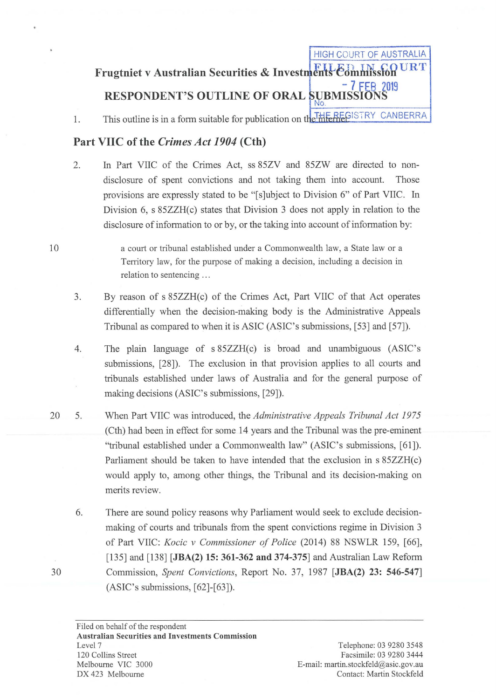# **Frugtniet v Australian Securities & Investments Commission** - **7 Ftp 2019 RESPONDENT'S OUTLINE OF ORAL SUBMISSIONS**

HIGH COURT OF AUSTRALIA

1. This outline is in a form suitable for publication on the THE RECISTRY CANBERRA

### **Part VIIC of the** *Crimes Act 1904* **(Cth)**

2. In Part VIIC of the Crimes Act, ss 85ZV and 85ZW are directed to nondisclosure of spent convictions and not taking them into account. Those provisions are expressly stated to be "[s]ubject to Division 6" of Part VIIC. In Division 6, s 85ZZH(c) states that Division 3 does not apply in relation to the disclosure of information to or by, or the taking into account of information by:

> a court or tribunal established under a Commonwealth law, a State law or a Territory law, for the purpose of making a decision, including a decision in relation to sentencing ...

- 3. By reason of s 85ZZH(c) of the Crimes Act, Part VIIC of that Act operates differentially when the decision-making body is the Administrative Appeals Tribunal as compared to when it is ASIC (ASIC's submissions, [53] and [57]).
- 4. The plain language of s 85ZZH(c) is broad and unambiguous (ASIC's submissions, [28]). The exclusion in that provision applies to all courts and tribunals established under laws of Australia and for the general purpose of making decisions (ASIC's submissions, [29]).
- 20 5. When Part VIIC was introduced, the *Administrative Appeals Tribunal Act 1975*  (Cth) had been in effect for some 14 years and the Tribunal was the pre-eminent "tribunal established under a Commonwealth law" (ASIC's submissions, [61]). Parliament should be taken to have intended that the exclusion in s 85ZZH(c) would apply to, among other things, the Tribunal and its decision-making on merits review.
	- 6. There are sound policy reasons why Parliament would seek to exclude decisionmaking of courts and tribunals from the spent convictions regime in Division 3 of Part VIIC: *Kocic v Commissioner of Police* (2014) 88 NSWLR 159, [66], [135] and [138] **[JBA(2) 15: 361-362 and 374-375]** and Australian Law Reform Cmmnission, *Spent Convictions,* Report No. 37, 1987 **[JBA(2)** 23: **546-547]**  (ASIC's submissions, [62]-[63]).

10

30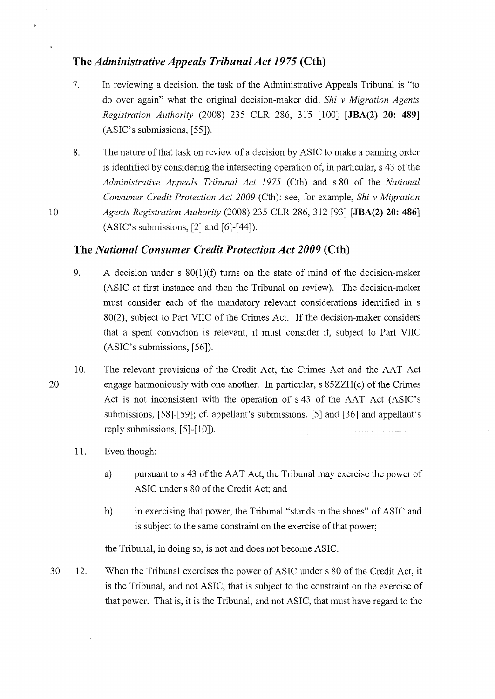## **The** *Administrative Appeals Tribunal Act 1975* **(Cth)**

- 7. In reviewing a decision, the task of the Administrative Appeals Tribunal is "to do over again" what the original decision-maker did: *Shi v Migration Agents Registration Authority (2008) 235 CLR 286, 315 [100] [JBA(2) 20: 489]* (ASIC's submissions, [55]).
- 8. The nature of that task on review of a decision by ASIC to make a banning order is identified by considering the intersecting operation of, in particular, s 43 of the *Administrative Appeals Tribunal Act 1975* (Cth) and s 80 of the *National Consumer Credit Protection Act 2009* (Cth): see, for example, *Shiv Migration Agents Registration Authority* (2008) 235 CLR 286, 312 [93] **[JBA(2) 20: 486]**  (ASIC's submissions, [2] and [6]-[44]).

#### **The** *National Consumer Credit Protection Act 2009* **(Cth)**

- 9. A decision under s  $80(1)(f)$  turns on the state of mind of the decision-maker (ASIC at first instance and then the Tribunal on review). The decision-maker must consider each of the mandatory relevant considerations identified in s 80(2), subject to Part VIIC of the Crimes Act. If the decision-maker considers that a spent conviction is relevant, it must consider it, subject to Part VIIC (ASIC's submissions, [56]).
- 10. The relevant provisions of the Credit Act, the Crimes Act and the AAT Act engage hannoniously with one another. In particular, s 85ZZH(c) of the Crimes Act is not inconsistent with the operation of s 43 of the AAT Act (ASIC's submissions, [58]-[59]; cf. appellant's submissions, [5] and [36] and appellant's reply submissions, [5]-[10]).

#### 11. Even though:

- a) pursuant to s 43 of the AAT Act, the Tribunal may exercise the power of ASIC under s 80 of the Credit Act; and
- b) in exercising that power, the Tribunal "stands in the shoes" of ASIC and is subject to the same constraint on the exercise of that power;

the Tribunal, in doing so, is not and does not become ASIC.

30 12. When the Tribunal exercises the power of ASIC under s 80 of the Credit Act, it is the Tribunal, and not ASIC, that is subject to the constraint on the exercise of that power. That is, it is the Tribunal, and not ASIC, that must have regard to the

20

10